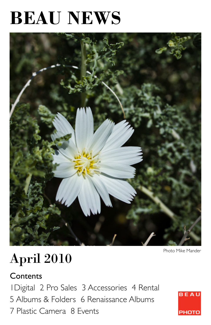# **BEAU NEWS**



#### Photo Mike Mander

## April 2010

#### **Contents**

1Digital 2 Pro Sales 3 Accessories 4 Rental 5 Albums & Folders 6 Renaissance Albums 7 Plastic Camera 8 Events

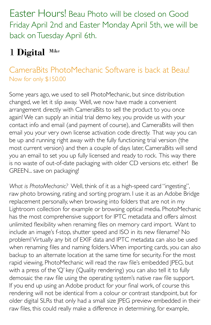Easter Hours! Beau Photo will be closed on Good Friday April 2nd and Easter Monday April 5th, we will be back on Tuesday April 6th.

## 1 **Digital** Mike

#### CameraBits PhotoMechanic Software is back at Beau! Now for only \$150.00

Some years ago, we used to sell PhotoMechanic, but since distribution changed, we let it slip away. Well, we now have made a convenient arrangement directly with CameraBits to sell the product to you once again! We can supply an initial trial demo key, you provide us with your contact info and email (and payment of course), and CameraBits will then email you your very own license activation code directly. That way you can be up and running right away with the fully functioning trial version (the most current version) and then a couple of days later, CameraBits will send you an email to set you up fully licensed and ready to rock. This way there is no waste of out-of-date packaging with older CD versions etc. either! Be GREEN... save on packaging!

*What is PhotoMechanic?* Well, think of it as a high-speed card "ingesting", raw photo browsing, rating and sorting program. I use it as an Adobe Bridge replacement personally, when browsing into folders that are not in my Lightroom collection for example or browsing optical media. PhotoMechanic has the most comprehensive support for IPTC metadata and offers almost unlimited flexibility when renaming files on memory card import. Want to include an image's f-stop, shutter speed and ISO in its new filename? No problem! Virtually any bit of EXIF data and IPTC metadata can also be used when renaming files and naming folders. When importing cards, you can also backup to an alternate location at the same time for security. For the most rapid viewing, PhotoMechanic will read the raw file's embedded JPEG, but with a press of the 'Q' key (Quality rendering) you can also tell it to fully demosaic the raw file using the operating system's native raw file support. If you end up using an Adobe product for your final work, of course this rendering will not be identical from a colour or contrast standpoint, but for older digital SLRs that only had a small size JPEG preview embedded in their raw files, this could really make a difference in determining, for example,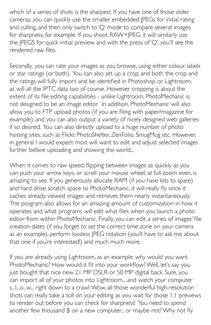which of a series of shots is the sharpest. If you have one of those older cameras, you can quickly use the smaller embedded JPEGs for initial rating and culling, and then only switch to 'Q' mode to compare several images for sharpness, for example. If you shoot RAW+JPEG, it will similarly use the JPEGS for quick initial preview and with the press of 'Q', you'll see the rendered raw files.

Secondly*,* you can rate your images as you browse, using either colour labels or star ratings (or both). You can also set up a crop, and both the crop and the ratings will fully import and be identified in Photoshop or Lightroom, as will all the IPTC data too of course. However cropping is about the extent of its file editing capabilities - unlike Lightroom, PhotoMechanic is not designed to be an image editor. In addition, PhotoMechanic will also allow you to FTP upload photos (if you are filing with paper/magazine for example), and you can also output a variety of nicely designed web galleries if so desired. You can also directly upload to a huge number of photo hosting sites, such as Flickr, PhotoShelter, ZenFolio, SmugMug etc. However, in general I would expect most will want to edit and adjust selected images further before uploading and showing the world...

When it comes to raw speed, flipping between images as quickly as you can push your arrow keys, or scroll your mouse wheel, at full zoom even, is amazing to see. If you generously allocate RAM (if you have lots to spare) and hard drive scratch space to PhotoMechanic, it will really fly since it caches already viewed images and retrieves them nearly instantaneously. The program also allows for an amazing amount of customization in how it operates and what programs will edit what files when you launch a photo editor from within PhotoMechanic. Finally, you can edit a series of images' file creation dates (if you forget to set the correct time zone on your camera as an example), perform lossless JPEG rotation (you'll have to ask me about that one if you're interested!) and much much more.

If you are already using Lightroom, as an example, why would you want PhotoMechanic? How would it fit into your workflow? Well, let's say you just bought that nice new 21 MP DSLR or 50 MP digital back. Sure, you can import all of your photos into Lightroom... and watch your computer s...l...o...w... right down to a crawl. Wow, all those wonderful high-resolution shots can really take a toll on your editing as you wait for those 1:1 previews to render out before you can check for sharpness! You need to spend another few thousand \$ on a new computer... or maybe not? Why not fly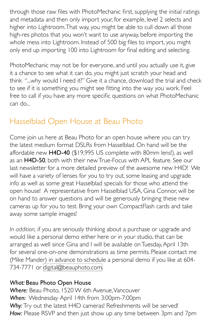through those raw files with PhotoMechanic first, supplying the initial ratings and metadata and then only import your, for example, level 2 selects and higher into Lightroom. That way, you might be able to cull down all those high-res photos that you won't want to use anyway, before importing the whole mess into Lightroom. Instead of 500 big files to import, you might only end up importing 100 into Lightroom for final editing and selecting.

PhotoMechanic may not be for everyone, and until you actually use it, give it a chance to see what it can do, you might just scratch your head and think "...why would I need it?" Give it a chance, download the trial and check to see if it is something you might see fitting into the way you work. Feel free to call if you have any more specific questions on what PhotoMechanic can do...

#### Hasselblad Open House at Beau Photo

Come join us here at Beau Photo for an open house where you can try the latest medium format DSLRs from Hasselblad. On hand will be the affordable new H4D-40 (\$19,995 US complete with 80mm lens!), as well as an H4D-50, both with their new True-Focus with APL feature. See our last newsletter for a more detailed preview of the awesome new H4D! We will have a variety of lenses for you to try out, some leasing and upgrade info as well as some great Hasselblad specials for those who attend the open house! A representative from Hasselblad USA, Gina Connor, will be on hand to answer questions and will be generously bringing these new cameras up for you to test. Bring your own CompactFlash cards and take away some sample images!

*In addition,* if you are seriously thinking about a purchase or upgrade and would like a personal demo either here or in your studio, that can be arranged as well since Gina and I will be available on Tuesday, April 13th for several one-on-one demonstrations as time permits. Please contact me (Mike Mander) in advance to schedule a personal demo if you like at 604- 734-7771 or [digital@beauphoto.com.](mailto:digital@beauphoto.com)

#### *What:* Beau Photo Open House

*Where:* Beau Photo, 1520 W 6th Avenue, Vancouver *When:* Wednesday April 14th from 3:00pm-7:00pm Why: Try out the latest H4D cameras! Refreshments will be served! *How:* Please RSVP and then just show up any time between 3pm and 7pm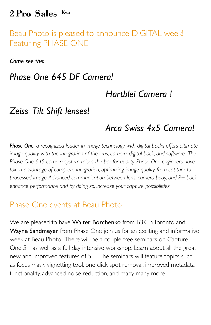#### 2 **Pro Sales** Ken

Beau Photo is pleased to announce DIGITAL week! Featuring PHASE ONE

*Come see the:* 

#### *Phase One 645 DF Camera!*

#### *Hartblei Camera !*

#### *Zeiss Tilt Shift lenses!*

#### *Arca Swiss 4x5 Camera!*

*Phase One, a recognized leader in image technology with digital backs offers ultimate image quality with the integration of the lens, camera, digital back, and software. The Phase One 645 camera system raises the bar for quality. Phase One engineers have taken advantage of complete integration, optimizing image quality from capture to processed image. Advanced communication between lens, camera body, and P+ back enhance performance and by doing so, increase your capture possibilities.*

#### Phase One events at Beau Photo

We are pleased to have Walter Borchenko from B3K in Toronto and Wayne Sandmeyer from Phase One join us for an exciting and informative week at Beau Photo. There will be a couple free seminars on Capture One 5.1 as well as a full day intensive workshop. Learn about all the great new and improved features of 5.1. The seminars will feature topics such as focus mask, vignetting tool, one click spot removal, improved metadata functionality, advanced noise reduction, and many many more.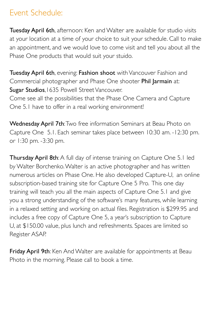#### Event Schedule:

Tuesday April 6th, afternoon: Ken and Walter are available for studio visits at your location at a time of your choice to suit your schedule. Call to make an appointment, and we would love to come visit and tell you about all the Phase One products that would suit your stuido.

Tuesday April 6th, evening: Fashion shoot with Vancouver Fashion and Commercial photographer and Phase One shooter Phil Jarmain at: Sugar Studios, 1635 Powell Street Vancouver. Come see all the possibilities that the Phase One Camera and Capture One 5.1 have to offer in a real working environment!

Wednesday April 7th: Two free information Seminars at Beau Photo on Capture One 5.1. Each seminar takes place between 10:30 am. -12:30 pm. or 1:30 pm. -3:30 pm.

Thursday April 8th: A full day of intense training on Capture One 5.1 led by Walter Borchenko. Walter is an active photographer and has written numerous articles on Phase One. He also developed Capture-U, an online subscription-based training site for Capture One 5 Pro. This one day training will teach you all the main aspects of Capture One 5.1 and give you a strong understanding of the software's many features, while learning in a relaxed setting and working on actual files. Registration is \$299.95 and includes a free copy of Capture One 5, a year's subscription to Capture U, at \$150.00 value, plus lunch and refreshments. Spaces are limited so Register ASAP.

Friday April 9th: Ken And Walter are available for appointments at Beau Photo in the morning. Please call to book a time.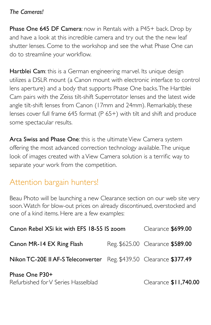#### *The Cameras!*

Phase One 645 DF Camera: now in Rentals with a P45+ back. Drop by and have a look at this incredible camera and try out the the new leaf shutter lenses. Come to the workshop and see the what Phase One can do to streamline your workflow.

Hartblei Cam: this is a German engineering marvel. Its unique design utilizes a DSLR mount (a Canon mount with electronic interface to control lens aperture) and a body that supports Phase One backs. The Hartblei Cam pairs with the Zeiss tilt-shift Superrotator lenses and the latest wide angle tilt-shift lenses from Canon (17mm and 24mm). Remarkably, these lenses cover full frame 645 format (P 65+) with tilt and shift and produce some spectacular results.

Arca Swiss and Phase One: this is the ultimate View Camera system offering the most advanced correction technology available. The unique look of images created with a View Camera solution is a terrific way to separate your work from the competition.

#### Attention bargain hunters!

Beau Photo will be launching a new Clearance section on our web site very soon. Watch for blow-out prices on already discontinued, overstocked and one of a kind items. Here are a few examples:

| Canon Rebel XSi kit with EFS 18-55 IS zoom                          |  | Clearance \$699.00               |
|---------------------------------------------------------------------|--|----------------------------------|
| Canon MR-14 EX Ring Flash                                           |  | Reg. \$625.00 Clearance \$589.00 |
| Nikon TC-20E II AF-S Teleconverter Reg. \$439.50 Clearance \$377.49 |  |                                  |
| Phase One P30+<br>Refurbished for V Series Hasselblad               |  | Clearance \$11,740.00            |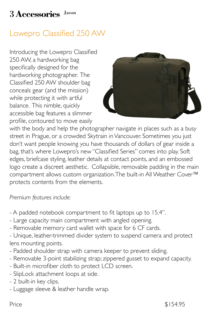#### 3 **Accessories** Jason

#### Lowepro Classified 250 AW

Introducing the Lowepro Classified 250 AW, a hardworking bag specifically designed for the hardworking photographer. The Classified 250 AW shoulder bag conceals gear (and the mission) while protecting it with artful balance. This nimble, quickly accessible bag features a slimmer profile, contoured to move easily



with the body and help the photographer navigate in places such as a busy street in Prague, or a crowded Skytrain in Vancouver. Sometimes you just don't want people knowing you have thousands of dollars of gear inside a bag, that's where Lowepro's new "Classified Series" comes into play. Soft edges, briefcase styling, leather details at contact points, and an embossed logo create a discreet aesthetic. Collapsible, removable padding in the main compartment allows custom organization. The built-in All Weather Cover™ protects contents from the elements.

*Premium features include:* 

- A padded notebook compartment to fit laptops up to 15.4".
- Large capacity main compartment with angled opening.
- Removable memory card wallet with space for 6 CF cards.

- Unique, leather-trimmed divider system to suspend camera and protect lens mounting points.

- Padded shoulder strap with camera keeper to prevent sliding.
- Removable 3-point stabilizing strap; zippered gusset to expand capacity.
- Built-in microfiber cloth to protect LCD screen.
- SlipLock attachment loops at side.
- 2 built-in key clips.
- Luggage sleeve & leather handle wrap.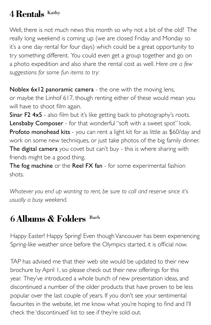#### 4 **Rentals** Kathy

Well, there is not much news this month so why not a bit of the old? The really long weekend is coming up (we are closed Friday and Monday so it's a one day rental for four days) which could be a great opportunity to try something different. You could even get a group together and go on a photo expedition and also share the rental cost as well. *Here are a few suggestions for some fun items to try:*

Noblex 6x12 panoramic camera - the one with the moving lens, or maybe the Linhof 617, though renting either of these would mean you will have to shoot film again.

Sinar F2 4x5 - also film but it's like getting back to photography's roots. Lensbaby Composer - for that wonderful "soft with a sweet spot" look. Profoto monohead kits - you can rent a light kit for as little as \$60/day and work on some new techniques, or just take photos of the big family dinner. The digital camera you covet but can't buy - this is where sharing with friends might be a good thing.

The fog machine or the Reel FX fan - for some experimental fashion shots.

*Whatever you end up wanting to rent, be sure to call and reserve since it's usually a busy weekend.*

#### 6 **Albums & Folders** Barb

Happy Easter! Happy Spring! Even though Vancouver has been experiencing Spring-like weather since before the Olympics started, it is official now.

TAP has advised me that their web site would be updated to their new brochure by April 1, so please check out their new offerings for this year. They've introduced a whole bunch of new presentation ideas, and discontinued a number of the older products that have proven to be less popular over the last couple of years. If you don't see your sentimental favourites in the website, let me know what you're hoping to find and I'll check the 'discontinued' list to see if they're sold out.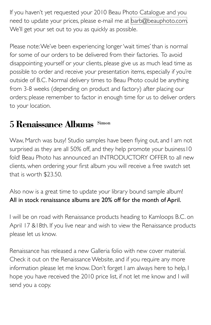If you haven't yet requested your 2010 Beau Photo Catalogue and you need to update your prices, please e-mail me at [barb@beauphoto.com.](mailto:barb@beauphoto.com) We'll get your set out to you as quickly as possible.

Please note: We've been experiencing longer 'wait times' than is normal for some of our orders to be delivered from their factories. To avoid disappointing yourself or your clients, please give us as much lead time as possible to order and receive your presentation items, especially if you're outside of B.C. Normal delivery times to Beau Photo could be anything from 3-8 weeks (depending on product and factory) after placing our orders; please remember to factor in enough time for us to deliver orders to your location.

#### 5 **Renaissance Albums** Simon

Waw, March was busy! Studio samples have been flying out, and I am not surprised as they are all 50% off, and they help promote your business10 fold! Beau Photo has announced an INTRODUCTORY OFFER to all new clients, when ordering your first album you will receive a free swatch set that is worth \$23.50.

Also now is a great time to update your library bound sample album! All in stock renaissance albums are 20% off for the month of April.

I will be on road with Renaissance products heading to Kamloops B.C. on April 17 &18th. If you live near and wish to view the Renaissance products please let us know.

Renaissance has released a new Galleria folio with new cover material. Check it out on the Renaissance Website, and if you require any more information please let me know. Don't forget I am always here to help, I hope you have received the 2010 price list, if not let me know and I will send you a copy.